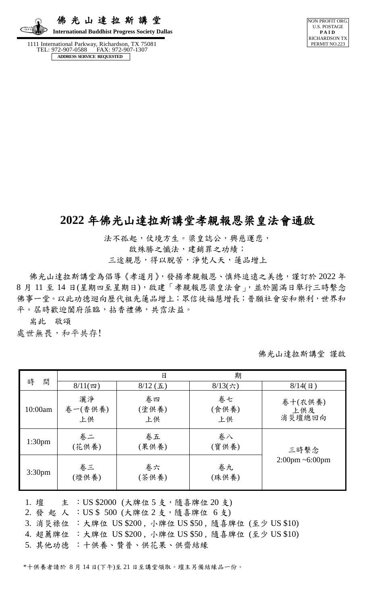佛 光 山 達 拉 斯 講 堂  **International Buddhist Progress Society Dallas**

 1111 International Parkway, Richardson, TX 75081 FAX: 972-907-1307 **ADDRESS SERVICE REQUESTED**



## **2022** 年佛光山達拉斯講堂孝親報恩梁皇法會通啟

法不孤起,仗境方生。梁皇誌公,興慈運悲,

啟殊勝之懺法,建銷罪之功績;

三途親恩,得以脫苦,淨梵人天,蓮品增上

佛光山達拉斯講堂為倡導《孝道月》,發揚孝親報恩、慎終追遠之美德,謹訂於 2022 年 8 月 11 至 14 日(星期四至星期日),啟建「孝親報恩梁皇法會」,並於圓滿日舉行三時繫念 佛事一堂。以此功德迴向歷代祖先蓮品增上;眾信徒福慧增長;普願社會安和樂利,世界和 平。屆時歡迎闔府蒞臨,拈香禮佛,共霑法益。

耑此 敬頌

處世無畏,和平共存!

佛光山達拉斯講堂 謹啟

| 間<br>時             |                     | 日                   | 期                 |                                      |  |
|--------------------|---------------------|---------------------|-------------------|--------------------------------------|--|
|                    | $8/11($ 四)          | $8/12$ ( <i>i</i> ) | $8/13$ (六)        | $8/14$ (日)                           |  |
| 10:00am            | 灑淨<br>卷一(香供養)<br>上供 | 卷四<br>(塗供養)<br>上供   | 卷七<br>(食供養)<br>上供 | 卷十(衣供養)<br>上供及<br>消災壇總回向             |  |
| 1:30 <sub>pm</sub> | 卷二<br>(花供養)         | 卷五<br>(果供養)         | 卷八<br>(寶供養)       | 三時繫念                                 |  |
| 3:30 <sub>pm</sub> | 卷三<br>(燈供養)         | 卷六<br>(茶供養)         | 卷九<br>(珠供養)       | $2:00 \text{pm} \sim 6:00 \text{pm}$ |  |

1. 壇 主 : US \$2000 (大牌位 5 支, 隨喜牌位 20 支)

2. 發 起 人 :US \$ 500 (大牌位 2 支,隨喜牌位 6 支)

3. 消災祿位 :大牌位 US \$200 , 小牌位 US \$50 , 隨喜牌位 (至少 US \$10)

4. 超薦牌位 :大牌位 US \$200 , 小牌位 US \$50 , 隨喜牌位 (至少 US \$10)

5. 其他功德 :十供養、贊普、供花果、供齋結緣

\*十供養者請於 8 月 14 日(下午)至 21 日至講堂領取。壇主另備結緣品一份。